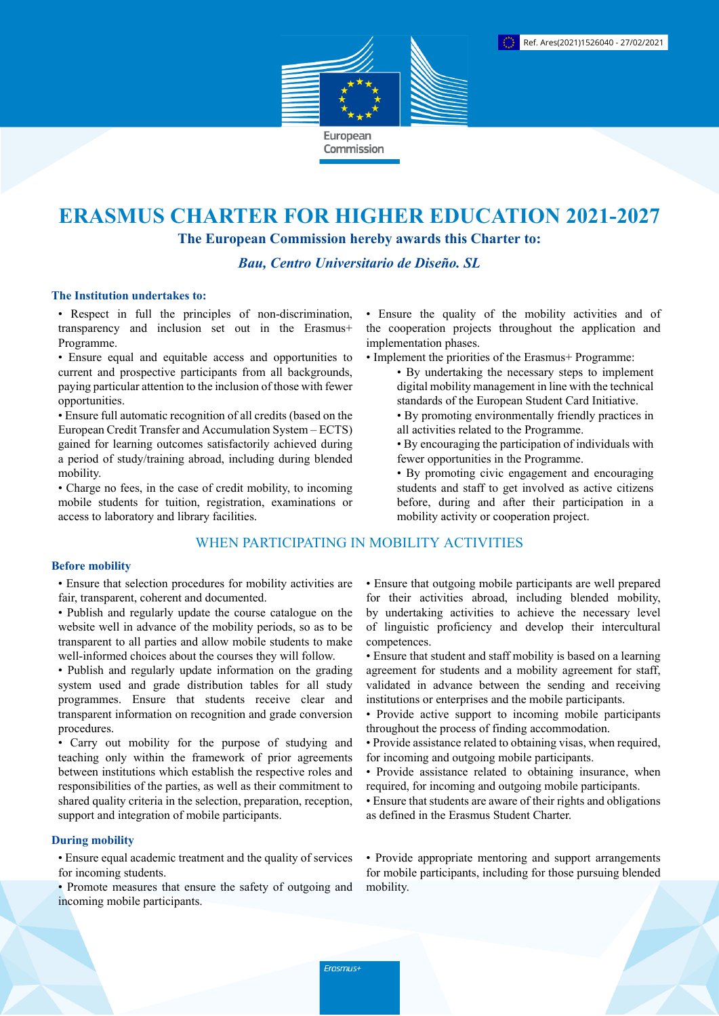

# **ERASMUS CHARTER FOR HIGHER EDUCATION 2021-2027**

**The European Commission hereby awards this Charter to:**

*Bau, Centro Universitario de Diseño. SL*

#### **The Institution undertakes to:**

• Respect in full the principles of non-discrimination, transparency and inclusion set out in the Erasmus+ Programme.

• Ensure equal and equitable access and opportunities to current and prospective participants from all backgrounds, paying particular attention to the inclusion of those with fewer opportunities.

• Ensure full automatic recognition of all credits (based on the European Credit Transfer and Accumulation System – ECTS) gained for learning outcomes satisfactorily achieved during a period of study/training abroad, including during blended mobility.

• Charge no fees, in the case of credit mobility, to incoming mobile students for tuition, registration, examinations or access to laboratory and library facilities.

# WHEN PARTICIPATING IN MOBILITY ACTIVITIES

### **Before mobility**

• Ensure that selection procedures for mobility activities are fair, transparent, coherent and documented.

- Publish and regularly update the course catalogue on the website well in advance of the mobility periods, so as to be transparent to all parties and allow mobile students to make well-informed choices about the courses they will follow.
- Publish and regularly update information on the grading system used and grade distribution tables for all study programmes. Ensure that students receive clear and transparent information on recognition and grade conversion procedures.

• Carry out mobility for the purpose of studying and teaching only within the framework of prior agreements between institutions which establish the respective roles and responsibilities of the parties, as well as their commitment to shared quality criteria in the selection, preparation, reception, support and integration of mobile participants.

#### **During mobility**

• Ensure equal academic treatment and the quality of services for incoming students.

• Promote measures that ensure the safety of outgoing and incoming mobile participants.

• Ensure the quality of the mobility activities and of the cooperation projects throughout the application and implementation phases.

- Implement the priorities of the Erasmus+ Programme:
	- By undertaking the necessary steps to implement digital mobility management in line with the technical standards of the European Student Card Initiative.
	- By promoting environmentally friendly practices in all activities related to the Programme.
	- By encouraging the participation of individuals with fewer opportunities in the Programme.
	- By promoting civic engagement and encouraging students and staff to get involved as active citizens before, during and after their participation in a mobility activity or cooperation project.

• Ensure that outgoing mobile participants are well prepared for their activities abroad, including blended mobility, by undertaking activities to achieve the necessary level of linguistic proficiency and develop their intercultural competences.

- Ensure that student and staff mobility is based on a learning agreement for students and a mobility agreement for staff, validated in advance between the sending and receiving institutions or enterprises and the mobile participants.
- Provide active support to incoming mobile participants throughout the process of finding accommodation.
- Provide assistance related to obtaining visas, when required, for incoming and outgoing mobile participants.
- Provide assistance related to obtaining insurance, when required, for incoming and outgoing mobile participants.
- Ensure that students are aware of their rights and obligations as defined in the Erasmus Student Charter.

• Provide appropriate mentoring and support arrangements for mobile participants, including for those pursuing blended mobility.

Erasmus+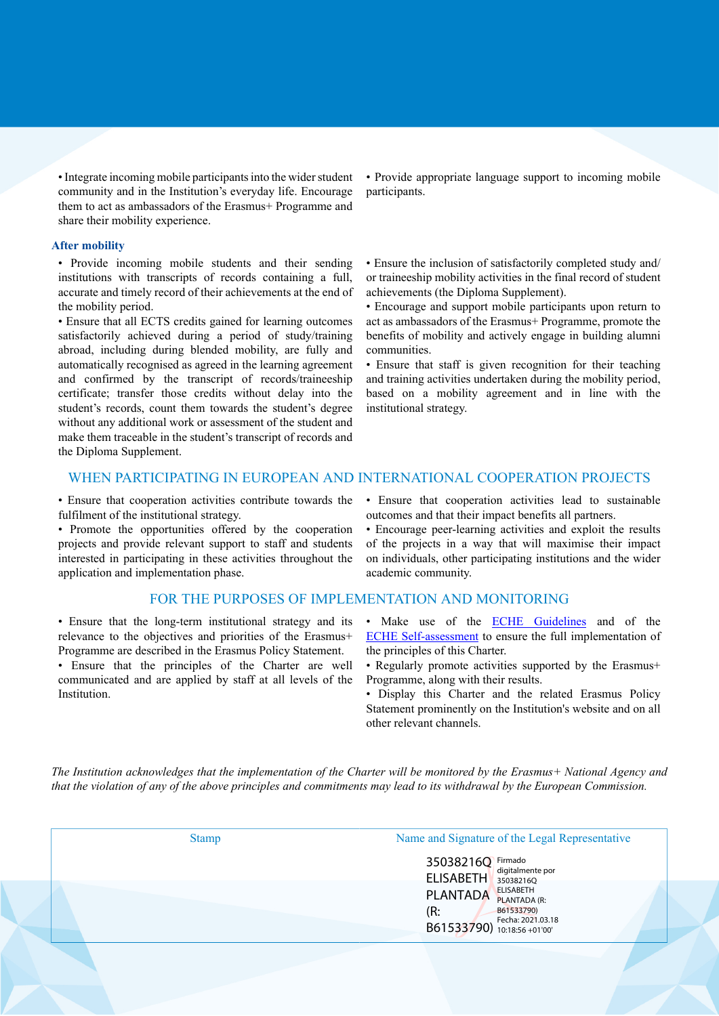• Integrate incoming mobile participants into the wider student community and in the Institution's everyday life. Encourage them to act as ambassadors of the Erasmus+ Programme and share their mobility experience.

#### **After mobility**

• Provide incoming mobile students and their sending institutions with transcripts of records containing a full, accurate and timely record of their achievements at the end of the mobility period.

• Ensure that all ECTS credits gained for learning outcomes satisfactorily achieved during a period of study/training abroad, including during blended mobility, are fully and automatically recognised as agreed in the learning agreement and confirmed by the transcript of records/traineeship certificate; transfer those credits without delay into the student's records, count them towards the student's degree without any additional work or assessment of the student and make them traceable in the student's transcript of records and the Diploma Supplement.

• Provide appropriate language support to incoming mobile participants.

• Ensure the inclusion of satisfactorily completed study and/ or traineeship mobility activities in the final record of student achievements (the Diploma Supplement).

• Encourage and support mobile participants upon return to act as ambassadors of the Erasmus+ Programme, promote the benefits of mobility and actively engage in building alumni communities.

• Ensure that staff is given recognition for their teaching and training activities undertaken during the mobility period, based on a mobility agreement and in line with the institutional strategy.

## WHEN PARTICIPATING IN EUROPEAN AND INTERNATIONAL COOPERATION PROJECTS

• Ensure that cooperation activities contribute towards the fulfilment of the institutional strategy.

• Promote the opportunities offered by the cooperation projects and provide relevant support to staff and students interested in participating in these activities throughout the application and implementation phase.

#### FOR THE PURPOSES OF IMPLEMENTATION AND MONITORING

• Ensure that the long-term institutional strategy and its relevance to the objectives and priorities of the Erasmus+ Programme are described in the Erasmus Policy Statement.

• Ensure that the principles of the Charter are well communicated and are applied by staff at all levels of the Institution.

• Ensure that cooperation activities lead to sustainable outcomes and that their impact benefits all partners.

• Encourage peer-learning activities and exploit the results of the projects in a way that will maximise their impact on individuals, other participating institutions and the wider academic community.

- Make use of the **ECHE Guidelines** and of the [ECHE Self-assessment](https://ec.europa.eu/programmes/erasmus-plus/eche/start_en) to ensure the full implementation of the principles of this Charter.
- Regularly promote activities supported by the Erasmus+ Programme, along with their results.
- Display this Charter and the related Erasmus Policy Statement prominently on the Institution's website and on all other relevant channels.

The Institution acknowledges that the implementation of the Charter will be monitored by the Erasmus+ National Agency and that the violation of any of the above principles and commitments may lead to its withdrawal by the European Commission.

| <b>Stamp</b> | Name and Signature of the Legal Representative                                                                                                                                                            |
|--------------|-----------------------------------------------------------------------------------------------------------------------------------------------------------------------------------------------------------|
|              | 35038216Q<br>Firmado<br>digitalmente por<br><b>ELISABETH</b><br>35038216Q<br><b>ELISABETH</b><br><b>PLANTADA</b><br>PLANTADA (R:<br>(R:<br>B61533790)<br>Fecha: 2021.03.18<br>B61533790) 10:18:56 +01'00' |
|              |                                                                                                                                                                                                           |